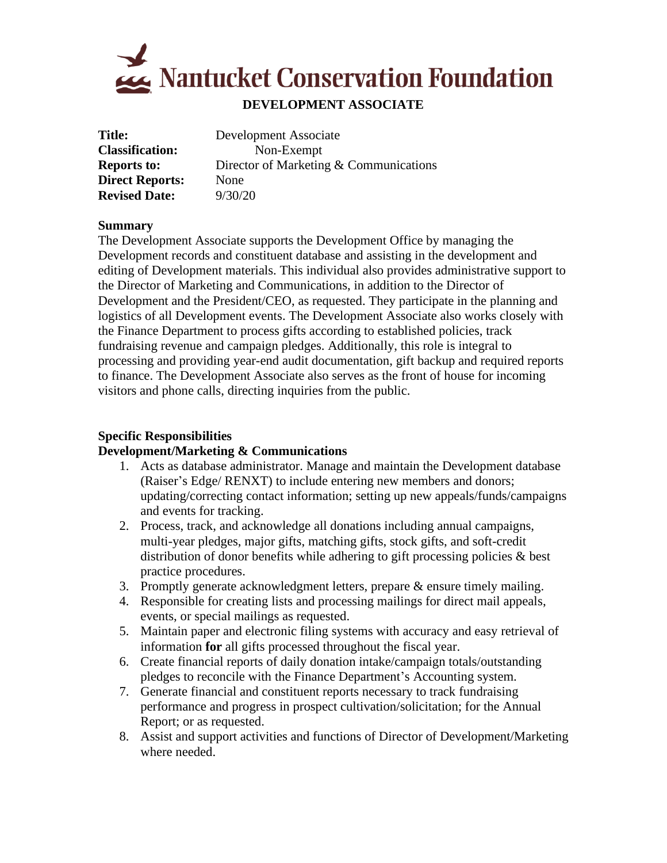

# **DEVELOPMENT ASSOCIATE**

| Title:                 | Development Associate                  |
|------------------------|----------------------------------------|
| <b>Classification:</b> | Non-Exempt                             |
| <b>Reports to:</b>     | Director of Marketing & Communications |
| <b>Direct Reports:</b> | None                                   |
| <b>Revised Date:</b>   | 9/30/20                                |
|                        |                                        |

#### **Summary**

The Development Associate supports the Development Office by managing the Development records and constituent database and assisting in the development and editing of Development materials. This individual also provides administrative support to the Director of Marketing and Communications, in addition to the Director of Development and the President/CEO, as requested. They participate in the planning and logistics of all Development events. The Development Associate also works closely with the Finance Department to process gifts according to established policies, track fundraising revenue and campaign pledges. Additionally, this role is integral to processing and providing year-end audit documentation, gift backup and required reports to finance. The Development Associate also serves as the front of house for incoming visitors and phone calls, directing inquiries from the public.

# **Specific Responsibilities**

### **Development/Marketing & Communications**

- 1. Acts as database administrator. Manage and maintain the Development database (Raiser's Edge/ RENXT) to include entering new members and donors; updating/correcting contact information; setting up new appeals/funds/campaigns and events for tracking.
- 2. Process, track, and acknowledge all donations including annual campaigns, multi-year pledges, major gifts, matching gifts, stock gifts, and soft-credit distribution of donor benefits while adhering to gift processing policies & best practice procedures.
- 3. Promptly generate acknowledgment letters, prepare & ensure timely mailing.
- 4. Responsible for creating lists and processing mailings for direct mail appeals, events, or special mailings as requested.
- 5. Maintain paper and electronic filing systems with accuracy and easy retrieval of information **for** all gifts processed throughout the fiscal year.
- 6. Create financial reports of daily donation intake/campaign totals/outstanding pledges to reconcile with the Finance Department's Accounting system.
- 7. Generate financial and constituent reports necessary to track fundraising performance and progress in prospect cultivation/solicitation; for the Annual Report; or as requested.
- 8. Assist and support activities and functions of Director of Development/Marketing where needed.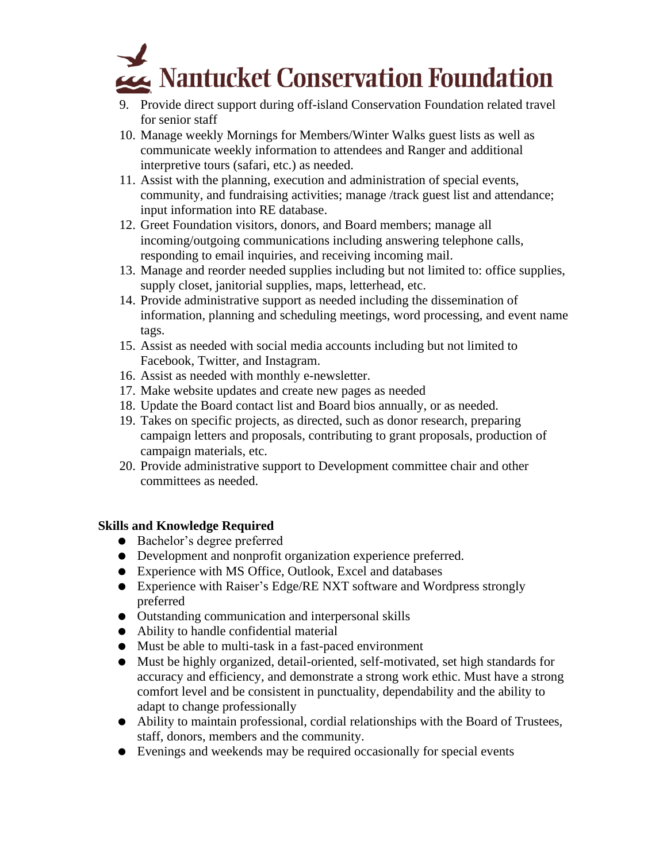

- 9. Provide direct support during off-island Conservation Foundation related travel for senior staff
- 10. Manage weekly Mornings for Members/Winter Walks guest lists as well as communicate weekly information to attendees and Ranger and additional interpretive tours (safari, etc.) as needed.
- 11. Assist with the planning, execution and administration of special events, community, and fundraising activities; manage /track guest list and attendance; input information into RE database.
- 12. Greet Foundation visitors, donors, and Board members; manage all incoming/outgoing communications including answering telephone calls, responding to email inquiries, and receiving incoming mail.
- 13. Manage and reorder needed supplies including but not limited to: office supplies, supply closet, janitorial supplies, maps, letterhead, etc.
- 14. Provide administrative support as needed including the dissemination of information, planning and scheduling meetings, word processing, and event name tags.
- 15. Assist as needed with social media accounts including but not limited to Facebook, Twitter, and Instagram.
- 16. Assist as needed with monthly e-newsletter.
- 17. Make website updates and create new pages as needed
- 18. Update the Board contact list and Board bios annually, or as needed.
- 19. Takes on specific projects, as directed, such as donor research, preparing campaign letters and proposals, contributing to grant proposals, production of campaign materials, etc.
- 20. Provide administrative support to Development committee chair and other committees as needed.

### **Skills and Knowledge Required**

- Bachelor's degree preferred
- Development and nonprofit organization experience preferred.
- Experience with MS Office, Outlook, Excel and databases
- Experience with Raiser's Edge/RE NXT software and Wordpress strongly preferred
- Outstanding communication and interpersonal skills
- Ability to handle confidential material
- Must be able to multi-task in a fast-paced environment
- Must be highly organized, detail-oriented, self-motivated, set high standards for accuracy and efficiency, and demonstrate a strong work ethic. Must have a strong comfort level and be consistent in punctuality, dependability and the ability to adapt to change professionally
- Ability to maintain professional, cordial relationships with the Board of Trustees, staff, donors, members and the community.
- Evenings and weekends may be required occasionally for special events